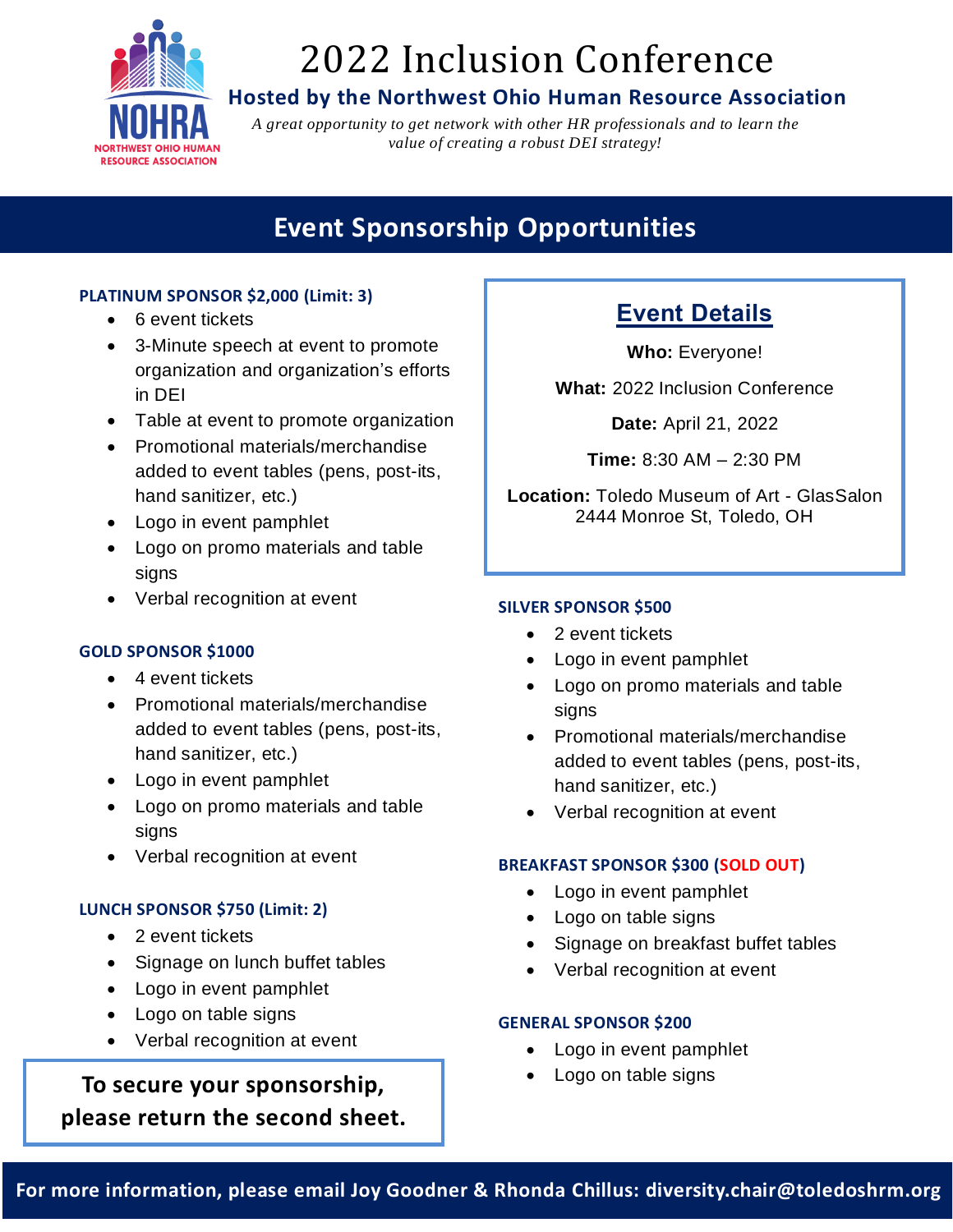

# 2022 Inclusion Conference

### **Hosted by the Northwest Ohio Human Resource Association**

*A great opportunity to get network with other HR professionals and to learn the value of creating a robust DEI strategy!*

# **Event Sponsorship Opportunities**

#### **PLATINUM SPONSOR \$2,000 (Limit: 3)**

- 6 event tickets
- 3-Minute speech at event to promote organization and organization's efforts in DEI
- Table at event to promote organization
- Promotional materials/merchandise added to event tables (pens, post-its, hand sanitizer, etc.)
- Logo in event pamphlet
- Logo on promo materials and table signs
- Verbal recognition at event

#### **GOLD SPONSOR \$1000**

- 4 event tickets
- Promotional materials/merchandise added to event tables (pens, post-its, hand sanitizer, etc.)
- Logo in event pamphlet
- Logo on promo materials and table signs
- Verbal recognition at event

#### **LUNCH SPONSOR \$750 (Limit: 2)**

- 2 event tickets
- Signage on lunch buffet tables
- Logo in event pamphlet
- Logo on table signs
- Verbal recognition at event

## • Logo on table signs **To secure your sponsorship, please return the second sheet.**

### **Event Details**

**Who:** Everyone!

**What:** 2022 Inclusion Conference

**Date:** April 21, 2022

**Time:** 8:30 AM – 2:30 PM

**Location:** Toledo Museum of Art - GlasSalon 2444 Monroe St, Toledo, OH

#### **SILVER SPONSOR \$500**

- 2 event tickets
- Logo in event pamphlet
- Logo on promo materials and table signs
- Promotional materials/merchandise added to event tables (pens, post-its, hand sanitizer, etc.)
- Verbal recognition at event

#### **BREAKFAST SPONSOR \$300 (SOLD OUT)**

- Logo in event pamphlet
- Logo on table signs
- Signage on breakfast buffet tables
- Verbal recognition at event

#### **GENERAL SPONSOR \$200**

- Logo in event pamphlet
-